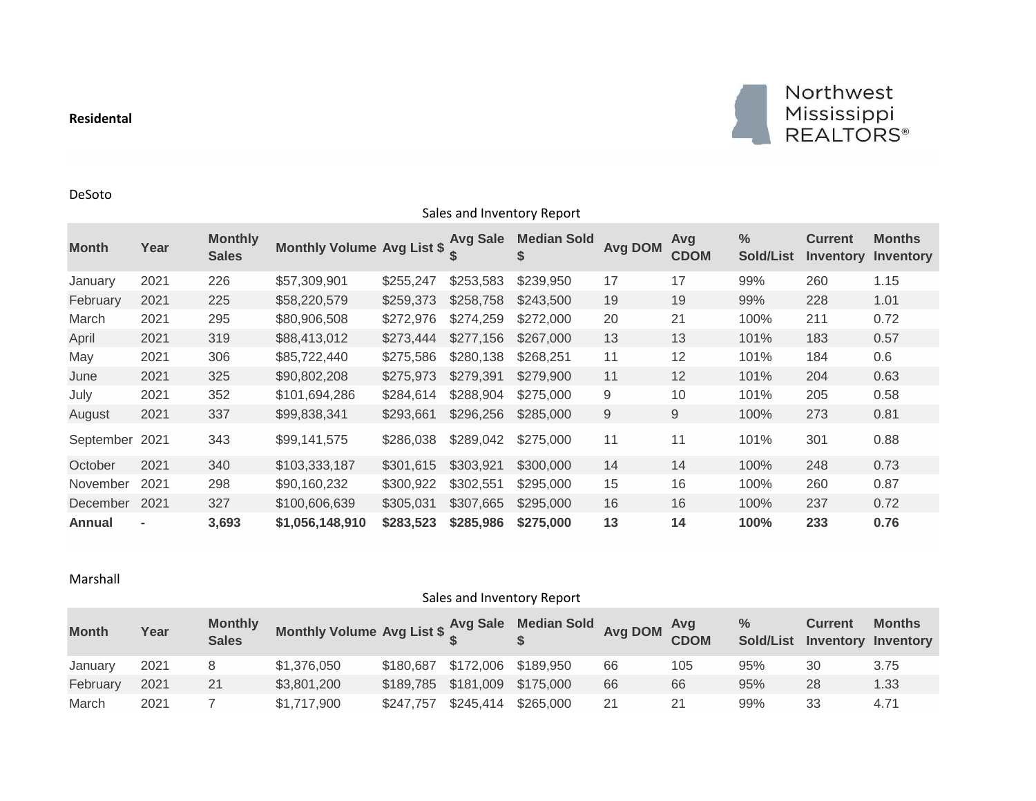## **Residental**



DeSoto

| Sales and Inventory Report |                |                                |                                     |           |           |                          |                |                    |                                   |                                    |                            |  |  |
|----------------------------|----------------|--------------------------------|-------------------------------------|-----------|-----------|--------------------------|----------------|--------------------|-----------------------------------|------------------------------------|----------------------------|--|--|
| <b>Month</b>               | Year           | <b>Monthly</b><br><b>Sales</b> | Monthly Volume Avg List \$ Avg Sale |           |           | <b>Median Sold</b><br>S. | <b>Avg DOM</b> | Avg<br><b>CDOM</b> | $\frac{9}{6}$<br><b>Sold/List</b> | <b>Current</b><br><b>Inventory</b> | <b>Months</b><br>Inventory |  |  |
| January                    | 2021           | 226                            | \$57,309,901                        | \$255,247 | \$253,583 | \$239,950                | 17             | 17                 | 99%                               | 260                                | 1.15                       |  |  |
| February                   | 2021           | 225                            | \$58,220,579                        | \$259,373 | \$258,758 | \$243,500                | 19             | 19                 | 99%                               | 228                                | 1.01                       |  |  |
| March                      | 2021           | 295                            | \$80,906,508                        | \$272,976 | \$274,259 | \$272,000                | 20             | 21                 | 100%                              | 211                                | 0.72                       |  |  |
| April                      | 2021           | 319                            | \$88,413,012                        | \$273,444 | \$277,156 | \$267,000                | 13             | 13                 | 101%                              | 183                                | 0.57                       |  |  |
| May                        | 2021           | 306                            | \$85,722,440                        | \$275,586 | \$280,138 | \$268,251                | 11             | 12                 | 101%                              | 184                                | 0.6                        |  |  |
| June                       | 2021           | 325                            | \$90,802,208                        | \$275,973 | \$279,391 | \$279,900                | 11             | 12                 | 101%                              | 204                                | 0.63                       |  |  |
| July                       | 2021           | 352                            | \$101,694,286                       | \$284,614 | \$288,904 | \$275,000                | 9              | 10                 | 101%                              | 205                                | 0.58                       |  |  |
| August                     | 2021           | 337                            | \$99,838,341                        | \$293,661 | \$296,256 | \$285,000                | 9              | 9                  | 100%                              | 273                                | 0.81                       |  |  |
| September                  | 2021           | 343                            | \$99,141,575                        | \$286,038 | \$289,042 | \$275,000                | 11             | 11                 | 101%                              | 301                                | 0.88                       |  |  |
| October                    | 2021           | 340                            | \$103,333,187                       | \$301,615 | \$303,921 | \$300,000                | 14             | 14                 | 100%                              | 248                                | 0.73                       |  |  |
| November                   | 2021           | 298                            | \$90,160,232                        | \$300,922 | \$302,551 | \$295,000                | 15             | 16                 | 100%                              | 260                                | 0.87                       |  |  |
| December                   | 2021           | 327                            | \$100,606,639                       | \$305,031 | \$307,665 | \$295,000                | 16             | 16                 | 100%                              | 237                                | 0.72                       |  |  |
| Annual                     | $\blacksquare$ | 3,693                          | \$1,056,148,910                     | \$283,523 | \$285,986 | \$275,000                | 13             | 14                 | 100%                              | 233                                | 0.76                       |  |  |

## Marshall

|  | Sales and Inventory Report |  |
|--|----------------------------|--|
|--|----------------------------|--|

| <b>Month</b> | Year | <b>Monthly</b><br><b>Sales</b> | Monthly Volume Avg List \$ $\frac{Avg}{s}$ Sale Median Sold Avg DOM $\frac{Avg}{CDOM}$ |                               |           |           |    |     | $\%$ | <b>Current</b> | <b>Months</b><br>Sold/List Inventory Inventory |
|--------------|------|--------------------------------|----------------------------------------------------------------------------------------|-------------------------------|-----------|-----------|----|-----|------|----------------|------------------------------------------------|
| January      | 2021 |                                | \$1,376,050                                                                            | \$180,687 \$172,006 \$189,950 |           |           | 66 | 105 | 95%  | 30             | 3.75                                           |
| February     | 2021 |                                | \$3,801,200                                                                            | \$189,785 \$181,009 \$175,000 |           |           | 66 | 66  | 95%  | 28             | 1.33                                           |
| March        | 2021 |                                | \$1,717,900                                                                            | \$247.757                     | \$245,414 | \$265,000 | 21 |     | 99%  | 33             | 4.71                                           |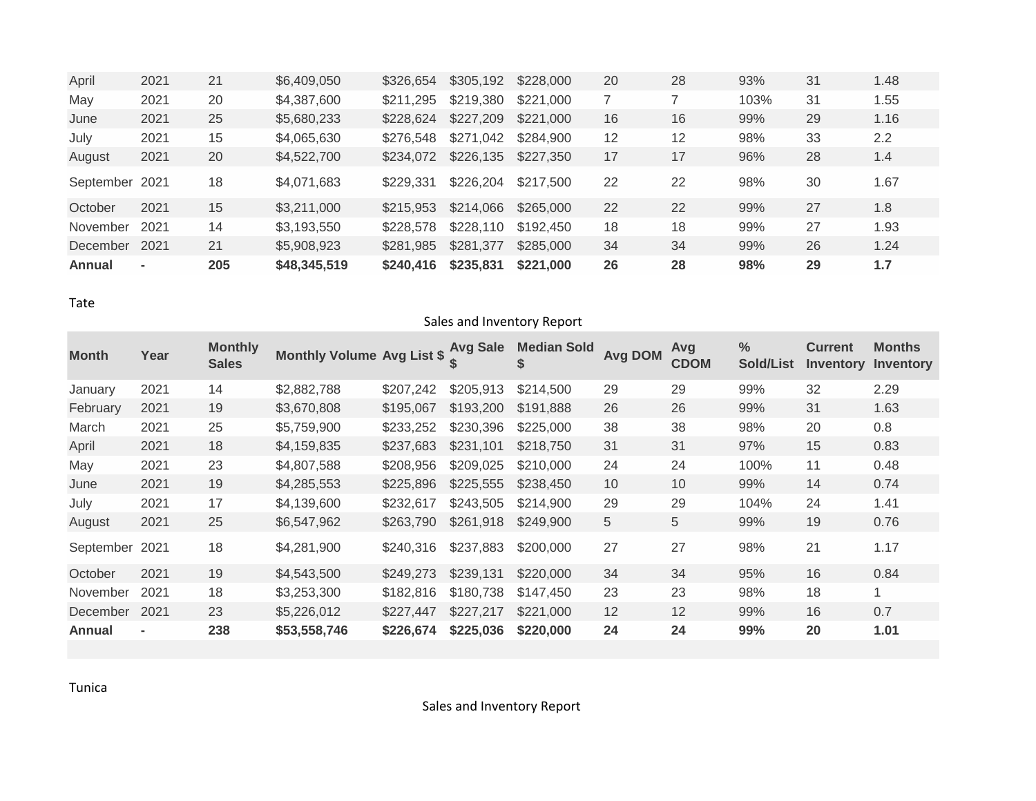| April          | 2021           | 21  | \$6,409,050  | \$326,654 | \$305,192 | \$228,000 | 20 | 28 | 93%  | 31 | 1.48 |
|----------------|----------------|-----|--------------|-----------|-----------|-----------|----|----|------|----|------|
| May            | 2021           | 20  | \$4,387,600  | \$211,295 | \$219,380 | \$221,000 |    |    | 103% | 31 | 1.55 |
| June           | 2021           | 25  | \$5,680,233  | \$228,624 | \$227,209 | \$221,000 | 16 | 16 | 99%  | 29 | 1.16 |
| July           | 2021           | 15  | \$4,065,630  | \$276,548 | \$271,042 | \$284,900 | 12 | 12 | 98%  | 33 | 2.2  |
| August         | 2021           | 20  | \$4,522,700  | \$234,072 | \$226,135 | \$227,350 | 17 | 17 | 96%  | 28 | 1.4  |
| September 2021 |                | 18  | \$4,071,683  | \$229.331 | \$226,204 | \$217,500 | 22 | 22 | 98%  | 30 | 1.67 |
| October        | 2021           | 15  | \$3,211,000  | \$215,953 | \$214,066 | \$265,000 | 22 | 22 | 99%  | 27 | 1.8  |
| November       | 2021           | 14  | \$3,193,550  | \$228,578 | \$228,110 | \$192,450 | 18 | 18 | 99%  | 27 | 1.93 |
| December       | 2021           | 21  | \$5,908,923  | \$281,985 | \$281,377 | \$285,000 | 34 | 34 | 99%  | 26 | 1.24 |
| Annual         | $\blacksquare$ | 205 | \$48,345,519 | \$240,416 | \$235,831 | \$221,000 | 26 | 28 | 98%  | 29 | 1.7  |

Tate

| Sales and Inventory Report |                |                                |                                   |           |                 |                          |                |                    |                                   |                                    |                            |  |  |
|----------------------------|----------------|--------------------------------|-----------------------------------|-----------|-----------------|--------------------------|----------------|--------------------|-----------------------------------|------------------------------------|----------------------------|--|--|
| <b>Month</b>               | Year           | <b>Monthly</b><br><b>Sales</b> | <b>Monthly Volume Avg List \$</b> |           | <b>Avg Sale</b> | <b>Median Sold</b><br>\$ | <b>Avg DOM</b> | Avg<br><b>CDOM</b> | $\frac{0}{0}$<br><b>Sold/List</b> | <b>Current</b><br><b>Inventory</b> | <b>Months</b><br>Inventory |  |  |
| January                    | 2021           | 14                             | \$2,882,788                       | \$207,242 | \$205,913       | \$214,500                | 29             | 29                 | 99%                               | 32                                 | 2.29                       |  |  |
| February                   | 2021           | 19                             | \$3,670,808                       | \$195,067 | \$193,200       | \$191,888                | 26             | 26                 | 99%                               | 31                                 | 1.63                       |  |  |
| March                      | 2021           | 25                             | \$5,759,900                       | \$233,252 | \$230,396       | \$225,000                | 38             | 38                 | 98%                               | 20                                 | 0.8                        |  |  |
| April                      | 2021           | 18                             | \$4,159,835                       | \$237,683 | \$231,101       | \$218,750                | 31             | 31                 | 97%                               | 15                                 | 0.83                       |  |  |
| May                        | 2021           | 23                             | \$4,807,588                       | \$208,956 | \$209,025       | \$210,000                | 24             | 24                 | 100%                              | 11                                 | 0.48                       |  |  |
| June                       | 2021           | 19                             | \$4,285,553                       | \$225,896 | \$225,555       | \$238,450                | 10             | 10                 | 99%                               | 14                                 | 0.74                       |  |  |
| July                       | 2021           | 17                             | \$4,139,600                       | \$232,617 | \$243,505       | \$214,900                | 29             | 29                 | 104%                              | 24                                 | 1.41                       |  |  |
| August                     | 2021           | 25                             | \$6,547,962                       | \$263,790 | \$261,918       | \$249,900                | 5              | 5                  | 99%                               | 19                                 | 0.76                       |  |  |
| September                  | 2021           | 18                             | \$4,281,900                       | \$240,316 | \$237,883       | \$200,000                | 27             | 27                 | 98%                               | 21                                 | 1.17                       |  |  |
| October                    | 2021           | 19                             | \$4,543,500                       | \$249,273 | \$239,131       | \$220,000                | 34             | 34                 | 95%                               | 16                                 | 0.84                       |  |  |
| November                   | 2021           | 18                             | \$3,253,300                       | \$182,816 | \$180,738       | \$147,450                | 23             | 23                 | 98%                               | 18                                 | $\mathbf{1}$               |  |  |
| December                   | 2021           | 23                             | \$5,226,012                       | \$227,447 | \$227,217       | \$221,000                | 12             | 12                 | 99%                               | 16                                 | 0.7                        |  |  |
| <b>Annual</b>              | $\blacksquare$ | 238                            | \$53,558,746                      | \$226,674 | \$225,036       | \$220,000                | 24             | 24                 | 99%                               | 20                                 | 1.01                       |  |  |

Tunica

Sales and Inventory Report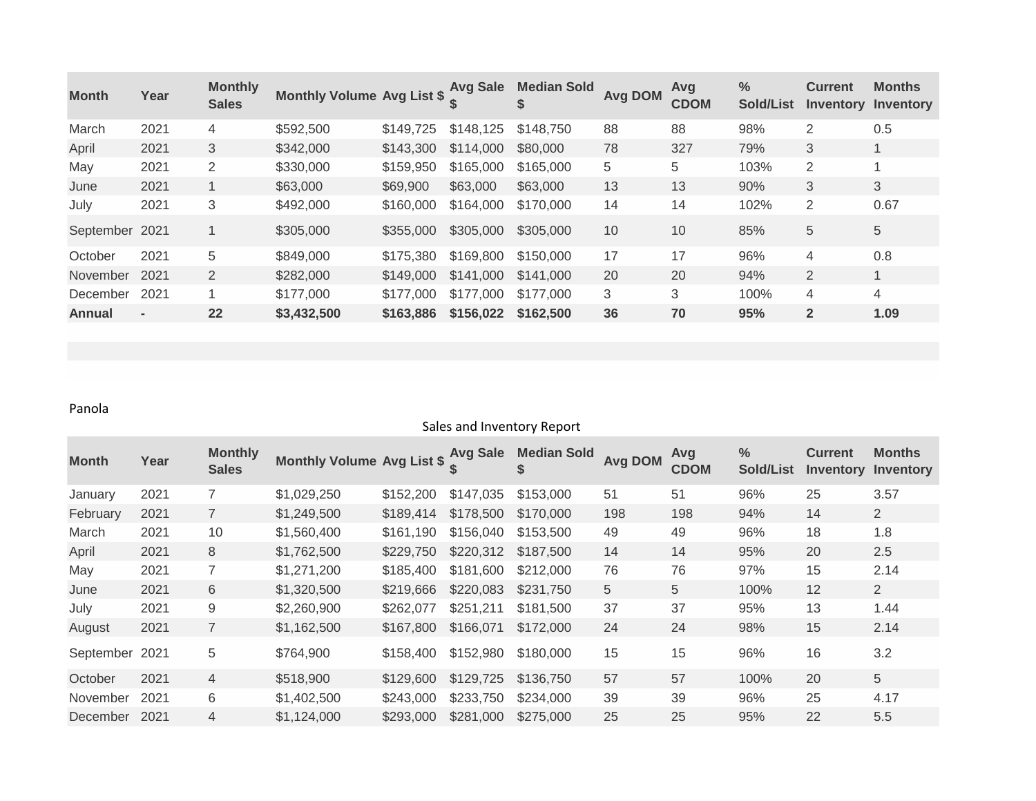| <b>Month</b>   | Year           | <b>Monthly</b><br><b>Sales</b> | Monthly Volume Avg List \$ Avg Sale |           |           | <b>Median Sold</b> | <b>Avg DOM</b> | Avg<br><b>CDOM</b> | $\frac{6}{6}$<br><b>Sold/List</b> | <b>Current</b><br><b>Inventory</b> | <b>Months</b><br>Inventory |
|----------------|----------------|--------------------------------|-------------------------------------|-----------|-----------|--------------------|----------------|--------------------|-----------------------------------|------------------------------------|----------------------------|
| March          | 2021           | $\overline{4}$                 | \$592,500                           | \$149.725 | \$148,125 | \$148,750          | 88             | 88                 | 98%                               | $\overline{2}$                     | 0.5                        |
| April          | 2021           | 3                              | \$342,000                           | \$143,300 | \$114,000 | \$80,000           | 78             | 327                | 79%                               | 3                                  |                            |
| May            | 2021           | 2                              | \$330,000                           | \$159,950 | \$165,000 | \$165,000          | 5              | 5                  | 103%                              | $\overline{2}$                     |                            |
| June           | 2021           |                                | \$63,000                            | \$69,900  | \$63,000  | \$63,000           | 13             | 13                 | 90%                               | 3                                  | 3                          |
| July           | 2021           | 3                              | \$492,000                           | \$160,000 | \$164,000 | \$170,000          | 14             | 14                 | 102%                              | $\overline{2}$                     | 0.67                       |
| September 2021 |                | 1                              | \$305,000                           | \$355,000 | \$305,000 | \$305,000          | 10             | 10                 | 85%                               | 5                                  | 5                          |
| October        | 2021           | 5                              | \$849,000                           | \$175,380 | \$169,800 | \$150,000          | 17             | 17                 | 96%                               | 4                                  | 0.8                        |
| November       | 2021           | 2                              | \$282,000                           | \$149,000 | \$141,000 | \$141,000          | 20             | 20                 | 94%                               | $\overline{2}$                     | 1                          |
| December       | 2021           | 1                              | \$177,000                           | \$177,000 | \$177,000 | \$177,000          | 3              | 3                  | 100%                              | 4                                  | 4                          |
| Annual         | $\blacksquare$ | 22                             | \$3,432,500                         | \$163,886 | \$156,022 | \$162,500          | 36             | 70                 | 95%                               | $\overline{2}$                     | 1.09                       |

## Panola

## Sales and Inventory Report

| <b>Month</b>    | Year | <b>Monthly</b><br><b>Sales</b> | Monthly Volume Avg List \$ Avg Sale |           |           | <b>Median Sold</b> | <b>Avg DOM</b> | Avg<br><b>CDOM</b> | $\frac{0}{0}$<br><b>Sold/List</b> | <b>Current</b><br><b>Inventory</b> | <b>Months</b><br>Inventory |
|-----------------|------|--------------------------------|-------------------------------------|-----------|-----------|--------------------|----------------|--------------------|-----------------------------------|------------------------------------|----------------------------|
| January         | 2021 | $\overline{7}$                 | \$1,029,250                         | \$152,200 | \$147,035 | \$153,000          | 51             | 51                 | 96%                               | 25                                 | 3.57                       |
| February        | 2021 | $\overline{7}$                 | \$1,249,500                         | \$189,414 | \$178,500 | \$170,000          | 198            | 198                | 94%                               | 14                                 | $\overline{2}$             |
| March           | 2021 | 10                             | \$1,560,400                         | \$161,190 | \$156,040 | \$153,500          | 49             | 49                 | 96%                               | 18                                 | 1.8                        |
| April           | 2021 | 8                              | \$1,762,500                         | \$229,750 | \$220,312 | \$187,500          | 14             | 14                 | 95%                               | 20                                 | 2.5                        |
| May             | 2021 | 7                              | \$1,271,200                         | \$185,400 | \$181,600 | \$212,000          | 76             | 76                 | 97%                               | 15                                 | 2.14                       |
| June            | 2021 | 6                              | \$1,320,500                         | \$219,666 | \$220,083 | \$231,750          | 5              | 5                  | 100%                              | 12                                 | $\overline{2}$             |
| July            | 2021 | 9                              | \$2,260,900                         | \$262,077 | \$251,211 | \$181,500          | 37             | 37                 | 95%                               | 13                                 | 1.44                       |
| August          | 2021 | $\overline{7}$                 | \$1,162,500                         | \$167,800 | \$166,071 | \$172,000          | 24             | 24                 | 98%                               | 15                                 | 2.14                       |
| September 2021  |      | 5                              | \$764,900                           | \$158,400 | \$152,980 | \$180,000          | 15             | 15                 | 96%                               | 16                                 | 3.2                        |
| October         | 2021 | $\overline{4}$                 | \$518,900                           | \$129,600 | \$129,725 | \$136,750          | 57             | 57                 | 100%                              | 20                                 | 5                          |
| <b>November</b> | 2021 | 6                              | \$1,402,500                         | \$243,000 | \$233,750 | \$234,000          | 39             | 39                 | 96%                               | 25                                 | 4.17                       |
| December        | 2021 | 4                              | \$1,124,000                         | \$293,000 | \$281,000 | \$275,000          | 25             | 25                 | 95%                               | 22                                 | 5.5                        |